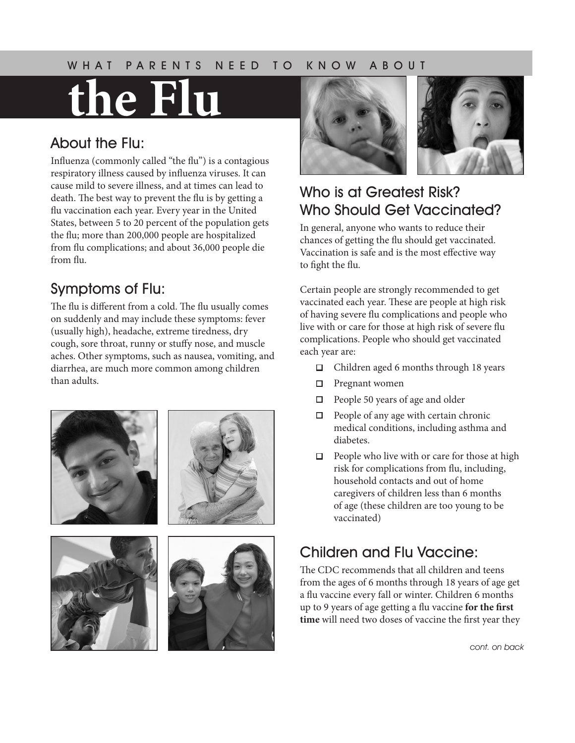#### WHAT PARENTS NEED TO KNOW ABOUT

# **the Flu**

#### About the Flu:

Influenza (commonly called "the flu") is a contagious respiratory illness caused by influenza viruses. It can cause mild to severe illness, and at times can lead to death. The best way to prevent the flu is by getting a flu vaccination each year. Every year in the United States, between 5 to 20 percent of the population gets the flu; more than 200,000 people are hospitalized from flu complications; and about 36,000 people die from flu.

#### Symptoms of Flu:

The flu is different from a cold. The flu usually comes on suddenly and may include these symptoms: fever (usually high), headache, extreme tiredness, dry cough, sore throat, runny or stuffy nose, and muscle aches. Other symptoms, such as nausea, vomiting, and diarrhea, are much more common among children than adults.





## Who is at Greatest Risk? Who Should Get Vaccinated?

In general, anyone who wants to reduce their chances of getting the flu should get vaccinated. Vaccination is safe and is the most effective way to fight the flu.

Certain people are strongly recommended to get vaccinated each year. These are people at high risk of having severe flu complications and people who live with or care for those at high risk of severe flu complications. People who should get vaccinated each year are:

- $\Box$  Children aged 6 months through 18 years
- $\Box$  Pregnant women
- $\Box$  People 50 years of age and older
- $\Box$  People of any age with certain chronic medical conditions, including asthma and diabetes.
- $\Box$  People who live with or care for those at high risk for complications from flu, including, household contacts and out of home caregivers of children less than 6 months of age (these children are too young to be vaccinated)

## Children and Flu Vaccine:

The CDC recommends that all children and teens from the ages of 6 months through 18 years of age get a flu vaccine every fall or winter. Children 6 months up to 9 years of age getting a flu vaccine **for the first time** will need two doses of vaccine the first year they

*cont. on back*